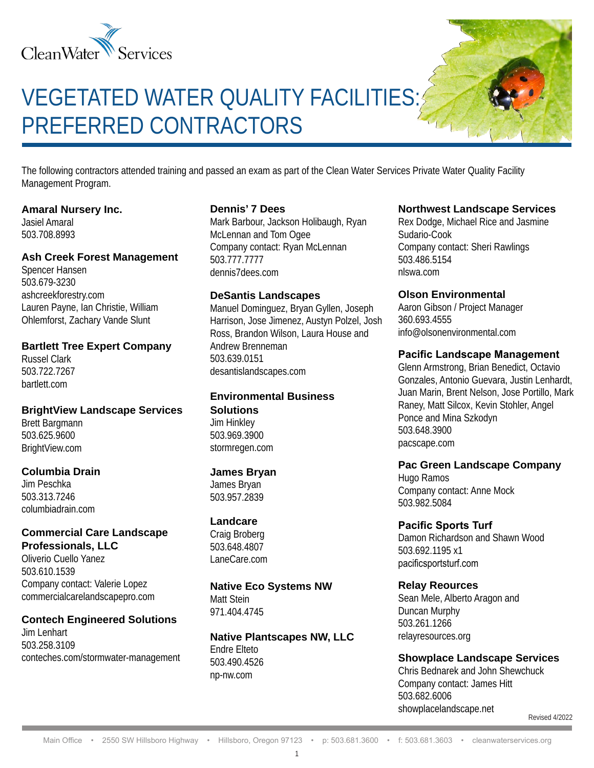

# VEGETATED WATER QUALITY FACILITIES: PREFERRED CONTRACTORS

The following contractors attended training and passed an exam as part of the Clean Water Services Private Water Quality Facility Management Program.

#### **Amaral Nursery Inc.**

Jasiel Amaral 503.708.8993

#### **Ash Creek Forest Management**

Spencer Hansen 503.679-3230 ashcreekforestry.com Lauren Payne, Ian Christie, William Ohlemforst, Zachary Vande Slunt

#### **Bartlett Tree Expert Company**

Russel Clark 503.722.7267 bartlett.com

#### **BrightView Landscape Services**

Brett Bargmann 503.625.9600 BrightView.com

#### **Columbia Drain**

Jim Peschka 503.313.7246 columbiadrain.com

#### **Commercial Care Landscape Professionals, LLC**

Oliverio Cuello Yanez 503.610.1539 Company contact: Valerie Lopez commercialcarelandscapepro.com

#### **Contech Engineered Solutions**

Jim Lenhart 503.258.3109 conteches.com/stormwater-management

#### **Dennis' 7 Dees**

Mark Barbour, Jackson Holibaugh, Ryan McLennan and Tom Ogee Company contact: Ryan McLennan 503.777.7777 dennis7dees.com

#### **DeSantis Landscapes**

Manuel Dominguez, Bryan Gyllen, Joseph Harrison, Jose Jimenez, Austyn Polzel, Josh Ross, Brandon Wilson, Laura House and Andrew Brenneman 503.639.0151 desantislandscapes.com

#### **Environmental Business Solutions** Jim Hinkley

503.969.3900 stormregen.com

#### **James Bryan**

James Bryan 503.957.2839

#### **Landcare**

Craig Broberg 503.648.4807 LaneCare.com

#### **Native Eco Systems NW** Matt Stein

971.404.4745

**Native Plantscapes NW, LLC** Endre Elteto 503.490.4526 np-nw.com

#### **Northwest Landscape Services**

Rex Dodge, Michael Rice and Jasmine Sudario-Cook Company contact: Sheri Rawlings 503.486.5154 nlswa.com

## **Olson Environmental**

Aaron Gibson / Project Manager 360.693.4555 info@olsonenvironmental.com

#### **Pacific Landscape Management**

Glenn Armstrong, Brian Benedict, Octavio Gonzales, Antonio Guevara, Justin Lenhardt, Juan Marin, Brent Nelson, Jose Portillo, Mark Raney, Matt Silcox, Kevin Stohler, Angel Ponce and Mina Szkodyn 503.648.3900 pacscape.com

#### **Pac Green Landscape Company**

Hugo Ramos Company contact: Anne Mock 503.982.5084

#### **Pacific Sports Turf**

Damon Richardson and Shawn Wood 503.692.1195 x1 pacificsportsturf.com

#### **Relay Reources**

Sean Mele, Alberto Aragon and Duncan Murphy 503.261.1266 relayresources.org

## **Showplace Landscape Services**

Chris Bednarek and John Shewchuck Company contact: James Hitt 503.682.6006 showplacelandscape.net

Revised 4/2022